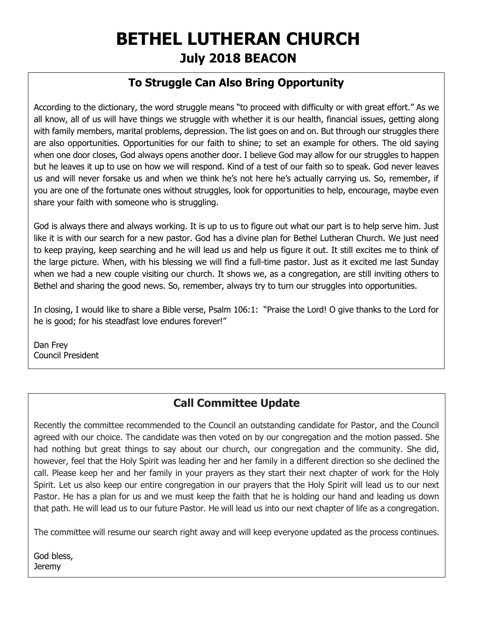# **BETHEL LUTHERAN CHURCH July 2018 BEACON**

## **To Struggle Can Also Bring Opportunity**

According to the dictionary, the word struggle means "to proceed with difficulty or with great effort." As we all know, all of us will have things we struggle with whether it is our health, financial issues, getting along with family members, marital problems, depression. The list goes on and on. But through our struggles there are also opportunities. Opportunities for our faith to shine; to set an example for others. The old saying when one door closes, God always opens another door. I believe God may allow for our struggles to happen but he leaves it up to use on how we will respond. Kind of a test of our faith so to speak. God never leaves us and will never forsake us and when we think he's not here he's actually carrying us. So, remember, if you are one of the fortunate ones without struggles, look for opportunities to help, encourage, maybe even share your faith with someone who is struggling.

God is always there and always working. It is up to us to figure out what our part is to help serve him. Just like it is with our search for a new pastor. God has a divine plan for Bethel Lutheran Church. We just need to keep praying, keep searching and he will lead us and help us figure it out. It still excites me to think of the large picture. When, with his blessing we will find a full-time pastor. Just as it excited me last Sunday when we had a new couple visiting our church. It shows we, as a congregation, are still inviting others to Bethel and sharing the good news. So, remember, always try to turn our struggles into opportunities.

In closing, I would like to share a Bible verse, Psalm 106:1: "Praise the Lord! O give thanks to the Lord for he is good; for his steadfast love endures forever!"

Dan Frey Council President

## **Call Committee Update**

Recently the committee recommended to the Council an outstanding candidate for Pastor, and the Council agreed with our choice. The candidate was then voted on by our congregation and the motion passed. She had nothing but great things to say about our church, our congregation and the community. She did, however, feel that the Holy Spirit was leading her and her family in a different direction so she declined the call. Please keep her and her family in your prayers as they start their next chapter of work for the Holy Spirit. Let us also keep our entire congregation in our prayers that the Holy Spirit will lead us to our next Pastor. He has a plan for us and we must keep the faith that he is holding our hand and leading us down that path. He will lead us to our future Pastor. He will lead us into our next chapter of life as a congregation.

The committee will resume our search right away and will keep everyone updated as the process continues.

God bless, **Jeremy**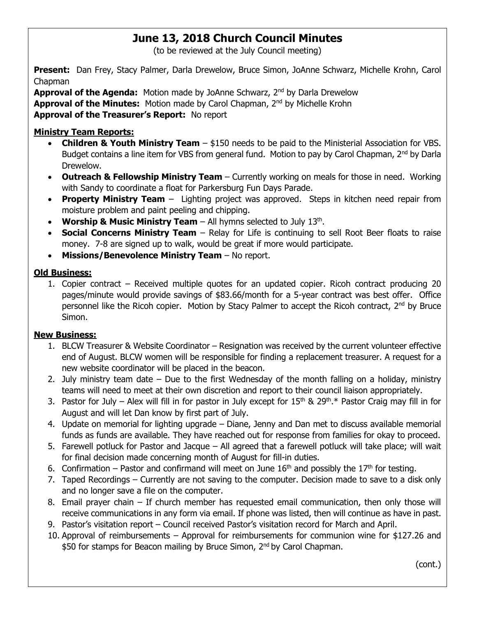# **June 13, 2018 Church Council Minutes**

(to be reviewed at the July Council meeting)

**Present:** Dan Frey, Stacy Palmer, Darla Drewelow, Bruce Simon, JoAnne Schwarz, Michelle Krohn, Carol Chapman

**Approval of the Agenda:** Motion made by JoAnne Schwarz, 2<sup>nd</sup> by Darla Drewelow **Approval of the Minutes:** Motion made by Carol Chapman, 2nd by Michelle Krohn **Approval of the Treasurer's Report:** No report

#### **Ministry Team Reports:**

- **Children & Youth Ministry Team** \$150 needs to be paid to the Ministerial Association for VBS. Budget contains a line item for VBS from general fund. Motion to pay by Carol Chapman, 2<sup>nd</sup> by Darla Drewelow.
- **Outreach & Fellowship Ministry Team** Currently working on meals for those in need. Working with Sandy to coordinate a float for Parkersburg Fun Days Parade.
- **Property Ministry Team** Lighting project was approved. Steps in kitchen need repair from moisture problem and paint peeling and chipping.
- Worship & Music Ministry Team All hymns selected to July 13<sup>th</sup>.
- **Social Concerns Ministry Team** Relay for Life is continuing to sell Root Beer floats to raise money. 7-8 are signed up to walk, would be great if more would participate.
- **Missions/Benevolence Ministry Team** No report.

#### **Old Business:**

1. Copier contract – Received multiple quotes for an updated copier. Ricoh contract producing 20 pages/minute would provide savings of \$83.66/month for a 5-year contract was best offer. Office personnel like the Ricoh copier. Motion by Stacy Palmer to accept the Ricoh contract,  $2^{nd}$  by Bruce Simon.

#### **New Business:**

- 1. BLCW Treasurer & Website Coordinator Resignation was received by the current volunteer effective end of August. BLCW women will be responsible for finding a replacement treasurer. A request for a new website coordinator will be placed in the beacon.
- 2. July ministry team date Due to the first Wednesday of the month falling on a holiday, ministry teams will need to meet at their own discretion and report to their council liaison appropriately.
- 3. Pastor for July Alex will fill in for pastor in July except for  $15<sup>th</sup>$  &  $29<sup>th</sup>$ .\* Pastor Craig may fill in for August and will let Dan know by first part of July.
- 4. Update on memorial for lighting upgrade Diane, Jenny and Dan met to discuss available memorial funds as funds are available. They have reached out for response from families for okay to proceed.
- 5. Farewell potluck for Pastor and Jacque All agreed that a farewell potluck will take place; will wait for final decision made concerning month of August for fill-in duties.
- 6. Confirmation Pastor and confirmand will meet on June  $16<sup>th</sup>$  and possibly the  $17<sup>th</sup>$  for testing.
- 7. Taped Recordings Currently are not saving to the computer. Decision made to save to a disk only and no longer save a file on the computer.
- 8. Email prayer chain If church member has requested email communication, then only those will receive communications in any form via email. If phone was listed, then will continue as have in past.
- 9. Pastor's visitation report Council received Pastor's visitation record for March and April.
- 10. Approval of reimbursements Approval for reimbursements for communion wine for \$127.26 and \$50 for stamps for Beacon mailing by Bruce Simon, 2<sup>nd</sup> by Carol Chapman.

(cont.)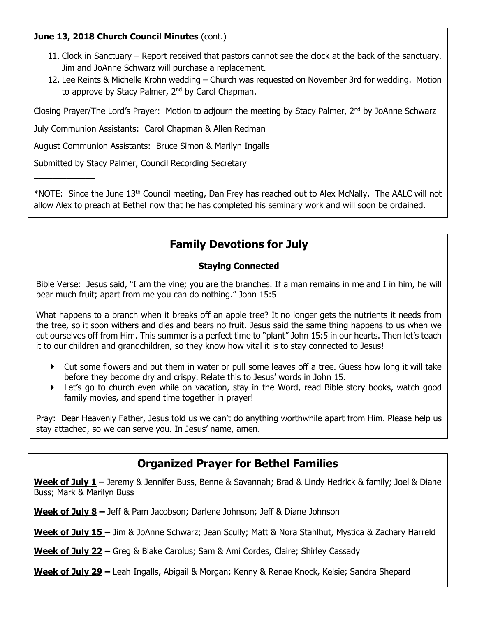#### **June 13, 2018 Church Council Minutes** (cont.)

 $\overline{\phantom{a}}$  , where  $\overline{\phantom{a}}$ 

- 11. Clock in Sanctuary Report received that pastors cannot see the clock at the back of the sanctuary. Jim and JoAnne Schwarz will purchase a replacement.
- 12. Lee Reints & Michelle Krohn wedding Church was requested on November 3rd for wedding. Motion to approve by Stacy Palmer, 2<sup>nd</sup> by Carol Chapman.

Closing Prayer/The Lord's Prayer: Motion to adjourn the meeting by Stacy Palmer, 2nd by JoAnne Schwarz

July Communion Assistants: Carol Chapman & Allen Redman

August Communion Assistants: Bruce Simon & Marilyn Ingalls

Submitted by Stacy Palmer, Council Recording Secretary

\*NOTE: Since the June 13th Council meeting, Dan Frey has reached out to Alex McNally. The AALC will not allow Alex to preach at Bethel now that he has completed his seminary work and will soon be ordained.

# **Family Devotions for July**

#### **Staying Connected**

Bible Verse: Jesus said, "I am the vine; you are the branches. If a man remains in me and I in him, he will bear much fruit; apart from me you can do nothing." John 15:5

What happens to a branch when it breaks off an apple tree? It no longer gets the nutrients it needs from the tree, so it soon withers and dies and bears no fruit. Jesus said the same thing happens to us when we cut ourselves off from Him. This summer is a perfect time to "plant" John 15:5 in our hearts. Then let's teach it to our children and grandchildren, so they know how vital it is to stay connected to Jesus!

- Cut some flowers and put them in water or pull some leaves off a tree. Guess how long it will take before they become dry and crispy. Relate this to Jesus' words in John 15.
- Let's go to church even while on vacation, stay in the Word, read Bible story books, watch good family movies, and spend time together in prayer!

Pray: Dear Heavenly Father, Jesus told us we can't do anything worthwhile apart from Him. Please help us stay attached, so we can serve you. In Jesus' name, amen.

# **Organized Prayer for Bethel Families**

**Week of July 1 –** Jeremy & Jennifer Buss, Benne & Savannah; Brad & Lindy Hedrick & family; Joel & Diane Buss; Mark & Marilyn Buss

**Week of July 8 –** Jeff & Pam Jacobson; Darlene Johnson; Jeff & Diane Johnson

**Week of July 15 –** Jim & JoAnne Schwarz; Jean Scully; Matt & Nora Stahlhut, Mystica & Zachary Harreld

**Week of July 22 –** Greg & Blake Carolus; Sam & Ami Cordes, Claire; Shirley Cassady

**Week of July 29 –** Leah Ingalls, Abigail & Morgan; Kenny & Renae Knock, Kelsie; Sandra Shepard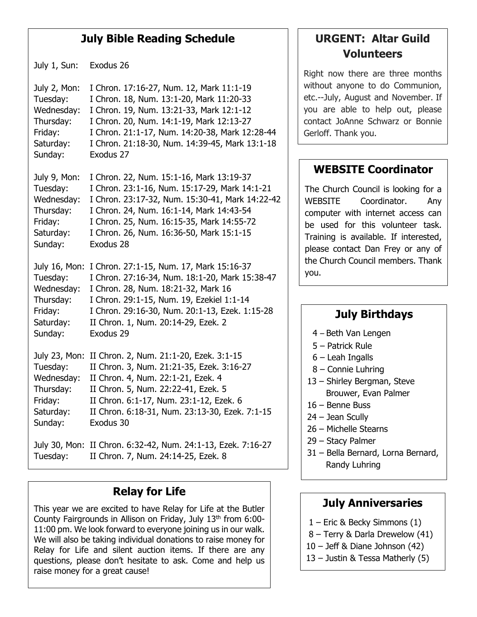## **July Bible Reading Schedule**

July 1, Sun: Exodus 26

July 2, Mon: I Chron. 17:16-27, Num. 12, Mark 11:1-19 Tuesday: I Chron. 18, Num. 13:1-20, Mark 11:20-33 Wednesday: I Chron. 19, Num. 13:21-33, Mark 12:1-12 Thursday: I Chron. 20, Num. 14:1-19, Mark 12:13-27 Friday: I Chron. 21:1-17, Num. 14:20-38, Mark 12:28-44 Saturday: I Chron. 21:18-30, Num. 14:39-45, Mark 13:1-18 Sunday: Exodus 27

July 9, Mon: I Chron. 22, Num. 15:1-16, Mark 13:19-37 Tuesday: I Chron. 23:1-16, Num. 15:17-29, Mark 14:1-21 Wednesday: I Chron. 23:17-32, Num. 15:30-41, Mark 14:22-42 Thursday: I Chron. 24, Num. 16:1-14, Mark 14:43-54 Friday: I Chron. 25, Num. 16:15-35, Mark 14:55-72 Saturday: I Chron. 26, Num. 16:36-50, Mark 15:1-15 Sunday: Exodus 28

July 16, Mon: I Chron. 27:1-15, Num. 17, Mark 15:16-37 Tuesday: I Chron. 27:16-34, Num. 18:1-20, Mark 15:38-47 Wednesday: I Chron. 28, Num. 18:21-32, Mark 16 Thursday: I Chron. 29:1-15, Num. 19, Ezekiel 1:1-14 Friday: I Chron. 29:16-30, Num. 20:1-13, Ezek. 1:15-28 Saturday: II Chron. 1, Num. 20:14-29, Ezek. 2 Sunday: Exodus 29

July 23, Mon: II Chron. 2, Num. 21:1-20, Ezek. 3:1-15 Tuesday: II Chron. 3, Num. 21:21-35, Ezek. 3:16-27 Wednesday: II Chron. 4, Num. 22:1-21, Ezek. 4 Thursday: II Chron. 5, Num. 22:22-41, Ezek. 5 Friday: II Chron. 6:1-17, Num. 23:1-12, Ezek. 6 Saturday: II Chron. 6:18-31, Num. 23:13-30, Ezek. 7:1-15 Sunday: Exodus 30

July 30, Mon: II Chron. 6:32-42, Num. 24:1-13, Ezek. 7:16-27 Tuesday: II Chron. 7, Num. 24:14-25, Ezek. 8

## **Relay for Life**

This year we are excited to have Relay for Life at the Butler County Fairgrounds in Allison on Friday, July 13th from 6:00- 11:00 pm. We look forward to everyone joining us in our walk. We will also be taking individual donations to raise money for Relay for Life and silent auction items. If there are any questions, please don't hesitate to ask. Come and help us raise money for a great cause!

# **URGENT: Altar Guild Volunteers**

Right now there are three months without anyone to do Communion, etc.--July, August and November. If you are able to help out, please contact JoAnne Schwarz or Bonnie Gerloff. Thank you.

## **WEBSITE Coordinator**

The Church Council is looking for a WEBSITE Coordinator. Any computer with internet access can be used for this volunteer task. Training is available. If interested, please contact Dan Frey or any of the Church Council members. Thank you.

#### **July Birthdays**

- 4 Beth Van Lengen
- 5 Patrick Rule
- 6 Leah Ingalls
- 8 Connie Luhring
- 13 Shirley Bergman, Steve Brouwer, Evan Palmer
- 16 Benne Buss
- 24 Jean Scully
- 26 Michelle Stearns
- 29 Stacy Palmer
- 31 Bella Bernard, Lorna Bernard, Randy Luhring

#### **July Anniversaries**

- 1 Eric & Becky Simmons (1)
- 8 Terry & Darla Drewelow (41)
- 10 Jeff & Diane Johnson (42)
- 13 Justin & Tessa Matherly (5)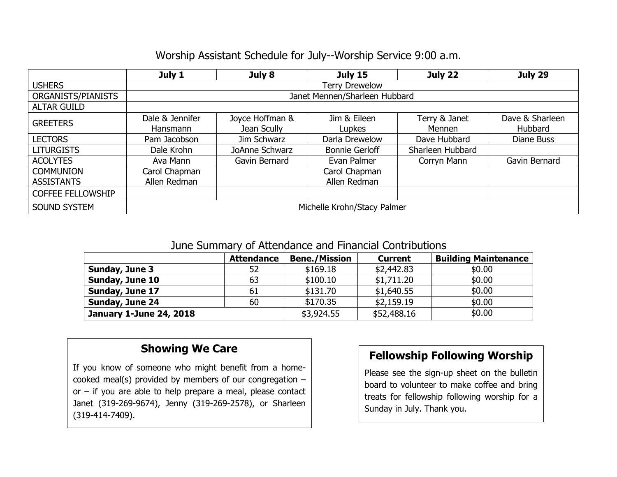### Worship Assistant Schedule for July--Worship Service 9:00 a.m.

|                          | July 1                        | July 8          | <b>July 15</b>        | July 22          | July 29         |  |  |  |  |
|--------------------------|-------------------------------|-----------------|-----------------------|------------------|-----------------|--|--|--|--|
| <b>USHERS</b>            | <b>Terry Drewelow</b>         |                 |                       |                  |                 |  |  |  |  |
| ORGANISTS/PIANISTS       | Janet Mennen/Sharleen Hubbard |                 |                       |                  |                 |  |  |  |  |
| <b>ALTAR GUILD</b>       |                               |                 |                       |                  |                 |  |  |  |  |
| <b>GREETERS</b>          | Dale & Jennifer               | Joyce Hoffman & | Jim & Eileen          | Terry & Janet    | Dave & Sharleen |  |  |  |  |
|                          | <b>Hansmann</b>               | Jean Scully     | Lupkes                | Mennen           | <b>Hubbard</b>  |  |  |  |  |
| <b>LECTORS</b>           | Pam Jacobson                  | Jim Schwarz     | Darla Drewelow        | Dave Hubbard     | Diane Buss      |  |  |  |  |
| <b>LITURGISTS</b>        | Dale Krohn                    | JoAnne Schwarz  | <b>Bonnie Gerloff</b> | Sharleen Hubbard |                 |  |  |  |  |
| <b>ACOLYTES</b>          | Ava Mann                      | Gavin Bernard   | Evan Palmer           | Corryn Mann      | Gavin Bernard   |  |  |  |  |
| <b>COMMUNION</b>         | Carol Chapman                 |                 | Carol Chapman         |                  |                 |  |  |  |  |
| <b>ASSISTANTS</b>        | Allen Redman                  |                 | Allen Redman          |                  |                 |  |  |  |  |
| <b>COFFEE FELLOWSHIP</b> |                               |                 |                       |                  |                 |  |  |  |  |
| <b>SOUND SYSTEM</b>      | Michelle Krohn/Stacy Palmer   |                 |                       |                  |                 |  |  |  |  |

#### June Summary of Attendance and Financial Contributions

|                                | <b>Attendance</b> | <b>Bene./Mission</b> | <b>Current</b> | <b>Building Maintenance</b> |  |  |
|--------------------------------|-------------------|----------------------|----------------|-----------------------------|--|--|
| Sunday, June 3                 | 52                | \$169.18             | \$2,442.83     | \$0.00                      |  |  |
| Sunday, June 10                | 63                | \$100.10             | \$1,711.20     | \$0.00                      |  |  |
| Sunday, June 17                | 61                | \$131.70             | \$1,640.55     | \$0.00                      |  |  |
| Sunday, June 24                | 60                | \$170.35             | \$2,159.19     | \$0.00                      |  |  |
| <b>January 1-June 24, 2018</b> |                   | \$3,924.55           | \$52,488.16    | \$0.00                      |  |  |

## **Showing We Care**

If you know of someone who might benefit from a homecooked meal(s) provided by members of our congregation – or – if you are able to help prepare a meal, please contact Janet (319-269-9674), Jenny (319-269-2578), or Sharleen (319-414-7409).

#### **Fellowship Following Worship**

Please see the sign-up sheet on the bulletin board to volunteer to make coffee and bring treats for fellowship following worship for a Sunday in July. Thank you.